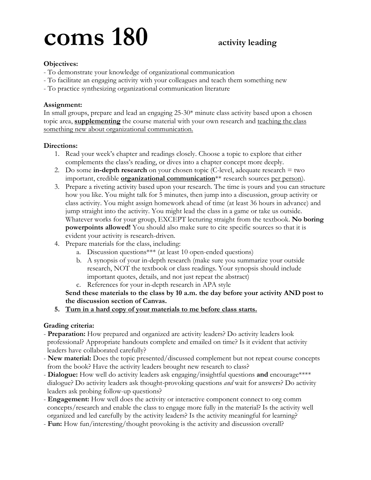# **coms 180 activity leading**

# **Objectives:**

- To demonstrate your knowledge of organizational communication
- To facilitate an engaging activity with your colleagues and teach them something new
- To practice synthesizing organizational communication literature

# **Assignment:**

In small groups, prepare and lead an engaging 25-30\* minute class activity based upon a chosen topic area, **supplementing** the course material with your own research and teaching the class something new about organizational communication.

# **Directions:**

- 1. Read your week's chapter and readings closely. Choose a topic to explore that either complements the class's reading, or dives into a chapter concept more deeply.
- 2. Do some **in-depth research** on your chosen topic (C-level, adequate research = two important, credible **organizational communication**\*\* research sources per person).
- 3. Prepare a riveting activity based upon your research. The time is yours and you can structure how you like. You might talk for 5 minutes, then jump into a discussion, group activity or class activity. You might assign homework ahead of time (at least 36 hours in advance) and jump straight into the activity. You might lead the class in a game or take us outside. Whatever works for your group, EXCEPT lecturing straight from the textbook. **No boring powerpoints allowed!** You should also make sure to cite specific sources so that it is evident your activity is research-driven.
- 4. Prepare materials for the class, including:
	- a. Discussion questions\*\*\* (at least 10 open-ended questions)
	- b. A synopsis of your in-depth research (make sure you summarize your outside research, NOT the textbook or class readings. Your synopsis should include important quotes, details, and not just repeat the abstract)
	- c. References for your in-depth research in APA style

# **Send these materials to the class by 10 a.m. the day before your activity AND post to the discussion section of Canvas.**

**5. Turn in a hard copy of your materials to me before class starts.**

# **Grading criteria:**

- **Preparation:** How prepared and organized are activity leaders? Do activity leaders look professional? Appropriate handouts complete and emailed on time? Is it evident that activity leaders have collaborated carefully?
- **New material:** Does the topic presented/discussed complement but not repeat course concepts from the book? Have the activity leaders brought new research to class?
- **Dialogue:** How well do activity leaders ask engaging/insightful questions **and** encourage\*\*\*\* dialogue? Do activity leaders ask thought-provoking questions *and* wait for answers? Do activity leaders ask probing follow-up questions?
- **Engagement:** How well does the activity or interactive component connect to org comm concepts/research and enable the class to engage more fully in the material? Is the activity well organized and led carefully by the activity leaders? Is the activity meaningful for learning?
- **Fun:** How fun/interesting/thought provoking is the activity and discussion overall?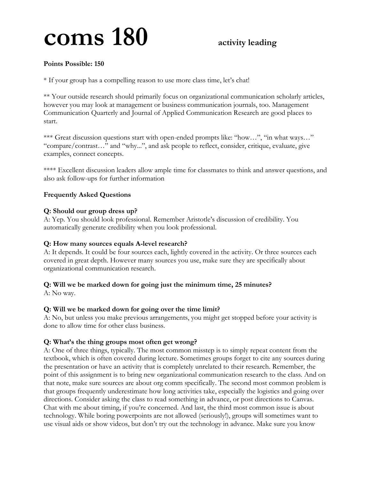# **coms 180 activity leading**

## **Points Possible: 150**

\* If your group has a compelling reason to use more class time, let's chat!

\*\* Your outside research should primarily focus on organizational communication scholarly articles, however you may look at management or business communication journals, too. Management Communication Quarterly and Journal of Applied Communication Research are good places to start.

\*\*\* Great discussion questions start with open-ended prompts like: "how...", "in what ways..." "compare/contrast…" and "why...", and ask people to reflect, consider, critique, evaluate, give examples, connect concepts.

\*\*\*\* Excellent discussion leaders allow ample time for classmates to think and answer questions, and also ask follow-ups for further information

### **Frequently Asked Questions**

#### **Q: Should our group dress up?**

A: Yep. You should look professional. Remember Aristotle's discussion of credibility. You automatically generate credibility when you look professional.

#### **Q: How many sources equals A-level research?**

A: It depends. It could be four sources each, lightly covered in the activity. Or three sources each covered in great depth. However many sources you use, make sure they are specifically about organizational communication research.

### **Q: Will we be marked down for going just the minimum time, 25 minutes?**

A: No way.

#### **Q: Will we be marked down for going over the time limit?**

A: No, but unless you make previous arrangements, you might get stopped before your activity is done to allow time for other class business.

### **Q: What's the thing groups most often get wrong?**

A: One of three things, typically. The most common misstep is to simply repeat content from the textbook, which is often covered during lecture. Sometimes groups forget to cite any sources during the presentation or have an activity that is completely unrelated to their research. Remember, the point of this assignment is to bring new organizational communication research to the class. And on that note, make sure sources are about org comm specifically. The second most common problem is that groups frequently underestimate how long activities take, especially the logistics and going over directions. Consider asking the class to read something in advance, or post directions to Canvas. Chat with me about timing, if you're concerned. And last, the third most common issue is about technology. While boring powerpoints are not allowed (seriously!), groups will sometimes want to use visual aids or show videos, but don't try out the technology in advance. Make sure you know